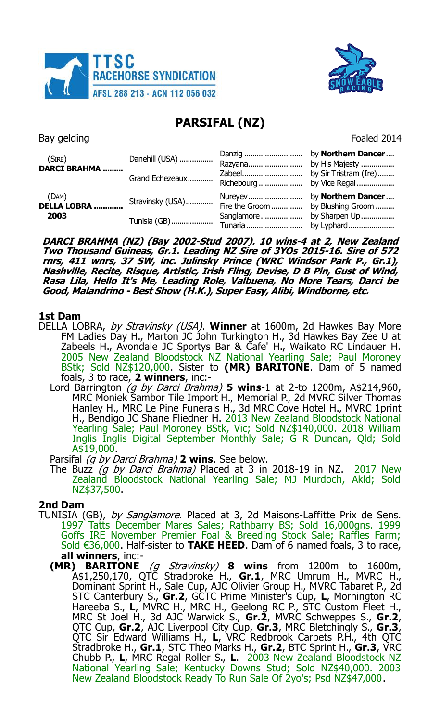



# **PARSIFAL (NZ)**

Bay gelding Foaled 2014

| (SIRE)<br><b>DARCI BRAHMA </b> | Danehill (USA)<br>Grand Echezeaux | Danzig<br>Razyana<br>Zabeel             | by Northern Dancer<br>by His Majesty<br>by Sir Tristram (Ire) |
|--------------------------------|-----------------------------------|-----------------------------------------|---------------------------------------------------------------|
| (DAM)<br>DELLA LOBRA<br>2003   | Stravinsky (USA)<br>Tunisia (GB)  | Fire the Groom<br>Sanglamore<br>Tunaria | by Blushing Groom<br>by Sharpen Up<br>by Lyphard              |

**DARCI BRAHMA (NZ) (Bay 2002-Stud 2007). 10 wins-4 at 2, New Zealand Two Thousand Guineas, Gr.1. Leading NZ Sire of 3YOs 2015-16. Sire of 572 rnrs, 411 wnrs, 37 SW, inc. Julinsky Prince (WRC Windsor Park P., Gr.1), Nashville, Recite, Risque, Artistic, Irish Fling, Devise, D B Pin, Gust of Wind, Rasa Lila, Hello It's Me, Leading Role, Valbuena, No More Tears, Darci be Good, Malandrino - Best Show (H.K.), Super Easy, Alibi, Windborne, etc.**

## **1st Dam**

- DELLA LOBRA, by Stravinsky (USA). **Winner** at 1600m, 2d Hawkes Bay More FM Ladies Day H., Marton JC John Turkington H., 3d Hawkes Bay Zee U at Zabeels H., Avondale JC Sportys Bar & Cafe' H., Waikato RC Lindauer H. 2005 New Zealand Bloodstock NZ National Yearling Sale; Paul Moroney BStk; Sold NZ\$120,000. Sister to **(MR) BARITONE**. Dam of 5 named foals, 3 to race, **2 winners**, inc:-
	- Lord Barrington (g by Darci Brahma) **5 wins**-1 at 2-to 1200m, A\$214,960, MRC Moniek Sambor Tile Import H., Memorial P., 2d MVRC Silver Thomas Hanley H., MRC Le Pine Funerals H., 3d MRC Cove Hotel H., MVRC 1print H., Bendigo JC Shane Fliedner H. 2013 New Zealand Bloodstock National Yearling Sale; Paul Moroney BStk, Vic; Sold NZ\$140,000. 2018 William Inglis Inglis Digital September Monthly Sale; G R Duncan, Qld; Sold A\$19,000.

Parsifal (g by Darci Brahma) **2 wins**. See below.

The Buzz  $(g$  by Darci Brahma) Placed at 3 in 2018-19 in NZ. 2017 New Zealand Bloodstock National Yearling Sale; MJ Murdoch, Akld; Sold NZ\$37,500.

## **2nd Dam**

- TUNISIA (GB), by Sanglamore. Placed at 3, 2d Maisons-Laffitte Prix de Sens. 1997 Tatts December Mares Sales; Rathbarry BS; Sold 16,000gns. 1999 Goffs IRE November Premier Foal & Breeding Stock Sale; Raffles Farm; Sold €36,000. Half-sister to **TAKE HEED**. Dam of 6 named foals, 3 to race,
	- **all winners**, inc:- **(MR) BARITONE** (g Stravinsky) **8 wins** from 1200m to 1600m, A\$1,250,170, QTC Stradbroke H., **Gr.1**, MRC Umrum H., MVRC H., Dominant Sprint H., Sale Cup, AJC Olivier Group H., MVRC Tabaret P., 2d STC Canterbury S., **Gr.2**, GCTC Prime Minister's Cup, **L**, Mornington RC Hareeba S., **L**, MVRC H., MRC H., Geelong RC P., STC Custom Fleet H., MRC St Joel H., 3d AJC Warwick S., **Gr.2**, MVRC Schweppes S., **Gr.2**, QTC Cup, **Gr.2**, AJC Liverpool City Cup, **Gr.3**, MRC Bletchingly S., **Gr.3**, QTC Sir Edward Williams H., **L**, VRC Redbrook Carpets P.H., 4th QTC Stradbroke H., **Gr.1**, STC Theo Marks H., **Gr.2**, BTC Sprint H., **Gr.3**, VRC Chubb P., **L**, MRC Regal Roller S., **L**. 2003 New Zealand Bloodstock NZ National Yearling Sale; Kentucky Downs Stud; Sold NZ\$40,000. 2003 New Zealand Bloodstock Ready To Run Sale Of 2yo's; Psd NZ\$47,000.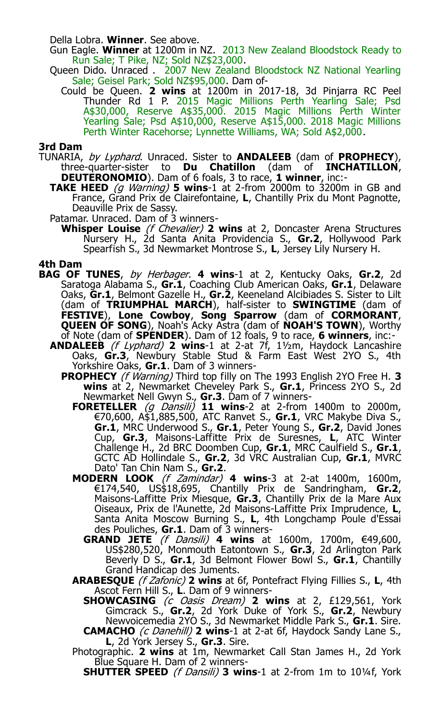Della Lobra. **Winner**. See above.

Gun Eagle. **Winner** at 1200m in NZ. 2013 New Zealand Bloodstock Ready to Run Sale; T Pike, NZ; Sold NZ\$23,000.

- Queen Dido. Unraced . 2007 New Zealand Bloodstock NZ National Yearling Sale; Geisel Park; Sold NZ\$95,000. Dam of-
	- Could be Queen. **2 wins** at 1200m in 2017-18, 3d Pinjarra RC Peel Thunder Rd 1 P. 2015 Magic Millions Perth Yearling Sale; Psd A\$30,000, Reserve A\$35,000. 2015 Magic Millions Perth Winter Yearling Sale; Psd A\$10,000, Reserve A\$15,000. 2018 Magic Millions Perth Winter Racehorse: Lynnette Williams, WA: Sold A\$2,000.

#### **3rd Dam**

- TUNARIA, by Lyphard. Unraced. Sister to **ANDALEEB** (dam of **PROPHECY**), three-quarter-sister to **Du Chatillon** (dam of **INCHATILLON**, **DEUTERONOMIO**). Dam of 6 foals, 3 to race, **1 winner**, inc:-
	- **TAKE HEED** (g Warning) **5 wins**-1 at 2-from 2000m to 3200m in GB and France, Grand Prix de Clairefontaine, **L**, Chantilly Prix du Mont Pagnotte, Deauville Prix de Sassy.
	- Patamar. Unraced. Dam of 3 winners-
		- **Whisper Louise** (f Chevalier) **2 wins** at 2, Doncaster Arena Structures Nursery H., 2d Santa Anita Providencia S., **Gr.2**, Hollywood Park Spearfish S., 3d Newmarket Montrose S., **L**, Jersey Lily Nursery H.

#### **4th Dam**

- **BAG OF TUNES**, by Herbager. **4 wins**-1 at 2, Kentucky Oaks, **Gr.2**, 2d Saratoga Alabama S., **Gr.1**, Coaching Club American Oaks, **Gr.1**, Delaware Oaks, **Gr.1**, Belmont Gazelle H., **Gr.2**, Keeneland Alcibiades S. Sister to Lilt (dam of **TRIUMPHAL MARCH**), half-sister to **SWINGTIME** (dam of **FESTIVE**), **Lone Cowboy**, **Song Sparrow** (dam of **CORMORANT**, **QUEEN OF SONG**), Noah's Acky Astra (dam of **NOAH'S TOWN**), Worthy of Note (dam of **SPENDER**). Dam of 12 foals, 9 to race, **6 winners**, inc:-
	- **ANDALEEB** (f Lyphard) **2 wins**-1 at 2-at 7f, 1½m, Haydock Lancashire Oaks, **Gr.3**, Newbury Stable Stud & Farm East West 2YO S., 4th Yorkshire Oaks, **Gr.1**. Dam of 3 winners-
		- **PROPHECY** (f Warning) Third top filly on The 1993 English 2YO Free H. **3 wins** at 2, Newmarket Cheveley Park S., **Gr.1**, Princess 2YO S., 2d Newmarket Nell Gwyn S., **Gr.3**. Dam of 7 winners-
			- **FORETELLER** (g Dansili) **11 wins**-2 at 2-from 1400m to 2000m, €70,600, A\$1,885,500, ATC Ranvet S., **Gr.1**, VRC Makybe Diva S., **Gr.1**, MRC Underwood S., **Gr.1**, Peter Young S., **Gr.2**, David Jones Cup, **Gr.3**, Maisons-Laffitte Prix de Suresnes, **L**, ATC Winter Challenge H., 2d BRC Doomben Cup, **Gr.1**, MRC Caulfield S., **Gr.1**, GCTC AD Hollindale S., **Gr.2**, 3d VRC Australian Cup, **Gr.1**, MVRC Dato' Tan Chin Nam S., **Gr.2**.
			- **MODERN LOOK** (f Zamindar) **4 wins**-3 at 2-at 1400m, 1600m, €174,540, US\$18,695, Chantilly Prix de Sandringham, **Gr.2**, Maisons-Laffitte Prix Miesque, **Gr.3**, Chantilly Prix de la Mare Aux Oiseaux, Prix de l'Aunette, 2d Maisons-Laffitte Prix Imprudence, **L**, Santa Anita Moscow Burning S., L, 4th Longchamp Poule d'Essai des Pouliches, **Gr.1**. Dam of 3 winners-
				- **GRAND JETE** (f Dansili) **4 wins** at 1600m, 1700m, €49,600, US\$280,520, Monmouth Eatontown S., **Gr.3**, 2d Arlington Park Beverly D S., **Gr.1**, 3d Belmont Flower Bowl S., **Gr.1**, Chantilly Grand Handicap des Juments.
			- **ARABESQUE** (f Zafonic) **2 wins** at 6f, Pontefract Flying Fillies S., **L**, 4th Ascot Fern Hill S., **L**. Dam of 9 winners-
				- **SHOWCASING** (c Oasis Dream) **2 wins** at 2, £129,561, York Gimcrack S., **Gr.2**, 2d York Duke of York S., **Gr.2**, Newbury Newvoicemedia 2YO S., 3d Newmarket Middle Park S., **Gr.1**. Sire. **CAMACHO** (c Danehill) **2 wins**-1 at 2-at 6f, Haydock Sandy Lane S.,
				- **L**, 2d York Jersey S., **Gr.3**. Sire.
			- Photographic. **2 wins** at 1m, Newmarket Call Stan James H., 2d York Blue Square H. Dam of 2 winners-

**SHUTTER SPEED** (f Dansili) **3 wins**-1 at 2-from 1m to 10¼f, York